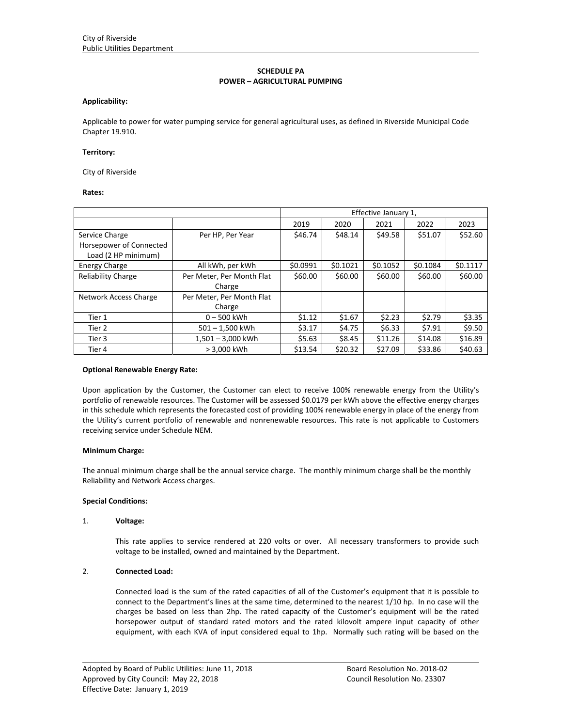# **SCHEDULE PA POWER – AGRICULTURAL PUMPING**

## **Applicability:**

Applicable to power for water pumping service for general agricultural uses, as defined in Riverside Municipal Code Chapter 19.910.

### **Territory:**

City of Riverside

## **Rates:**

|                           |                           | Effective January 1, |          |          |          |          |
|---------------------------|---------------------------|----------------------|----------|----------|----------|----------|
|                           |                           | 2019                 | 2020     | 2021     | 2022     | 2023     |
| Service Charge            | Per HP, Per Year          | \$46.74              | \$48.14  | \$49.58  | \$51.07  | \$52.60  |
| Horsepower of Connected   |                           |                      |          |          |          |          |
| Load (2 HP minimum)       |                           |                      |          |          |          |          |
| <b>Energy Charge</b>      | All kWh, per kWh          | \$0.0991             | \$0.1021 | \$0.1052 | \$0.1084 | \$0.1117 |
| <b>Reliability Charge</b> | Per Meter, Per Month Flat | \$60.00              | \$60.00  | \$60.00  | \$60.00  | \$60.00  |
|                           | Charge                    |                      |          |          |          |          |
| Network Access Charge     | Per Meter, Per Month Flat |                      |          |          |          |          |
|                           | Charge                    |                      |          |          |          |          |
| Tier 1                    | $0 - 500$ kWh             | \$1.12               | \$1.67   | \$2.23   | \$2.79   | \$3.35   |
| Tier 2                    | $501 - 1,500$ kWh         | \$3.17               | \$4.75   | \$6.33   | \$7.91   | \$9.50   |
| Tier 3                    | $1,501 - 3,000$ kWh       | \$5.63               | \$8.45   | \$11.26  | \$14.08  | \$16.89  |
| Tier 4                    | > 3,000 kWh               | \$13.54              | \$20.32  | \$27.09  | \$33.86  | \$40.63  |

#### **Optional Renewable Energy Rate:**

Upon application by the Customer, the Customer can elect to receive 100% renewable energy from the Utility's portfolio of renewable resources. The Customer will be assessed \$0.0179 per kWh above the effective energy charges in this schedule which represents the forecasted cost of providing 100% renewable energy in place of the energy from the Utility's current portfolio of renewable and nonrenewable resources. This rate is not applicable to Customers receiving service under Schedule NEM.

# **Minimum Charge:**

The annual minimum charge shall be the annual service charge. The monthly minimum charge shall be the monthly Reliability and Network Access charges.

# **Special Conditions:**

### 1. **Voltage:**

This rate applies to service rendered at 220 volts or over. All necessary transformers to provide such voltage to be installed, owned and maintained by the Department.

# 2. **Connected Load:**

Connected load is the sum of the rated capacities of all of the Customer's equipment that it is possible to connect to the Department's lines at the same time, determined to the nearest 1/10 hp. In no case will the charges be based on less than 2hp. The rated capacity of the Customer's equipment will be the rated horsepower output of standard rated motors and the rated kilovolt ampere input capacity of other equipment, with each KVA of input considered equal to 1hp. Normally such rating will be based on the

<u> 1989 - Johann Stoff, amerikansk politiker (d. 1989)</u>